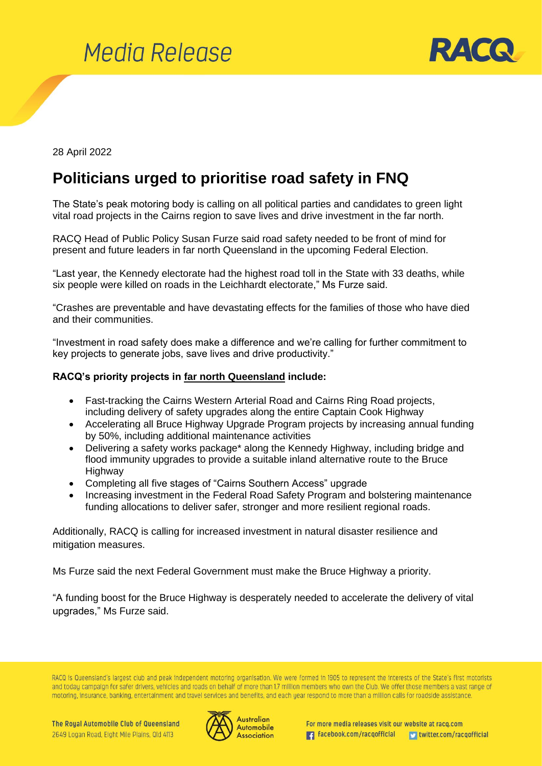



28 April 2022

## **Politicians urged to prioritise road safety in FNQ**

The State's peak motoring body is calling on all political parties and candidates to green light vital road projects in the Cairns region to save lives and drive investment in the far north.

RACQ Head of Public Policy Susan Furze said road safety needed to be front of mind for present and future leaders in far north Queensland in the upcoming Federal Election.

"Last year, the Kennedy electorate had the highest road toll in the State with 33 deaths, while six people were killed on roads in the Leichhardt electorate," Ms Furze said.

"Crashes are preventable and have devastating effects for the families of those who have died and their communities.

"Investment in road safety does make a difference and we're calling for further commitment to key projects to generate jobs, save lives and drive productivity."

## **RACQ's priority projects in far north Queensland include:**

- Fast-tracking the Cairns Western Arterial Road and Cairns Ring Road projects, including delivery of safety upgrades along the entire Captain Cook Highway
- Accelerating all Bruce Highway Upgrade Program projects by increasing annual funding by 50%, including additional maintenance activities
- Delivering a safety works package\* along the Kennedy Highway, including bridge and flood immunity upgrades to provide a suitable inland alternative route to the Bruce Highway
- Completing all five stages of "Cairns Southern Access" upgrade
- Increasing investment in the Federal Road Safety Program and bolstering maintenance funding allocations to deliver safer, stronger and more resilient regional roads.

Additionally, RACQ is calling for increased investment in natural disaster resilience and mitigation measures.

Ms Furze said the next Federal Government must make the Bruce Highway a priority.

"A funding boost for the Bruce Highway is desperately needed to accelerate the delivery of vital upgrades," Ms Furze said.

RACQ is Queensland's largest club and peak independent motoring organisation. We were formed in 1905 to represent the interests of the State's first motorists and today campaign for safer drivers, vehicles and roads on behalf of more than 1.7 million members who own the Club. We offer those members a vast range of motoring, insurance, banking, entertainment and travel services and benefits, and each year respond to more than a million calls for roadside assistance.